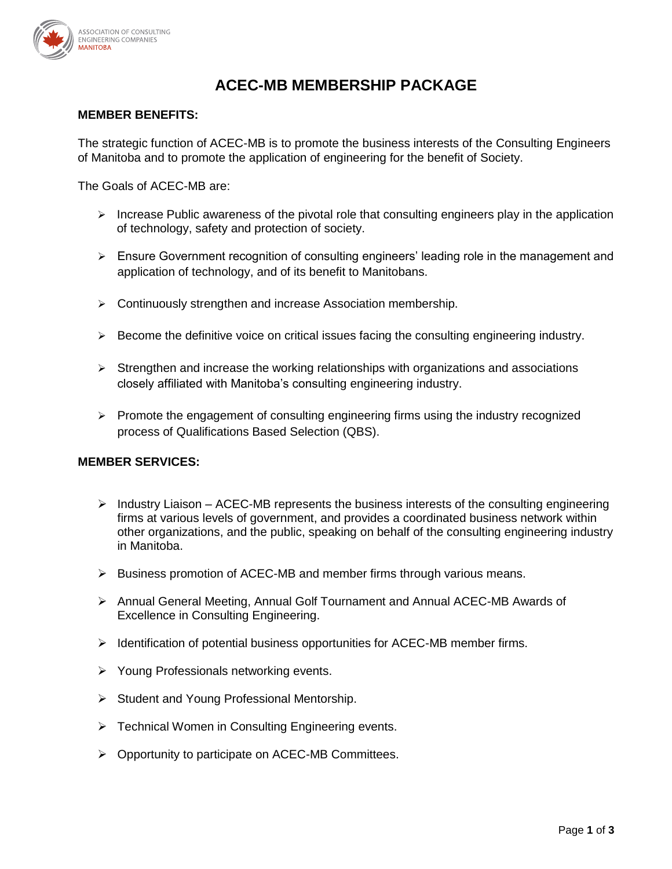

# **ACEC-MB MEMBERSHIP PACKAGE**

#### **MEMBER BENEFITS:**

The strategic function of ACEC-MB is to promote the business interests of the Consulting Engineers of Manitoba and to promote the application of engineering for the benefit of Society.

The Goals of ACEC-MB are:

- $\triangleright$  Increase Public awareness of the pivotal role that consulting engineers play in the application of technology, safety and protection of society.
- $\triangleright$  Ensure Government recognition of consulting engineers' leading role in the management and application of technology, and of its benefit to Manitobans.
- Continuously strengthen and increase Association membership.
- $\triangleright$  Become the definitive voice on critical issues facing the consulting engineering industry.
- $\triangleright$  Strengthen and increase the working relationships with organizations and associations closely affiliated with Manitoba's consulting engineering industry.
- $\triangleright$  Promote the engagement of consulting engineering firms using the industry recognized process of Qualifications Based Selection (QBS).

#### **MEMBER SERVICES:**

- $\triangleright$  Industry Liaison ACEC-MB represents the business interests of the consulting engineering firms at various levels of government, and provides a coordinated business network within other organizations, and the public, speaking on behalf of the consulting engineering industry in Manitoba.
- $\triangleright$  Business promotion of ACEC-MB and member firms through various means.
- Annual General Meeting, Annual Golf Tournament and Annual ACEC-MB Awards of Excellence in Consulting Engineering.
- $\triangleright$  Identification of potential business opportunities for ACEC-MB member firms.
- Young Professionals networking events.
- $\triangleright$  Student and Young Professional Mentorship.
- $\triangleright$  Technical Women in Consulting Engineering events.
- Opportunity to participate on ACEC-MB Committees.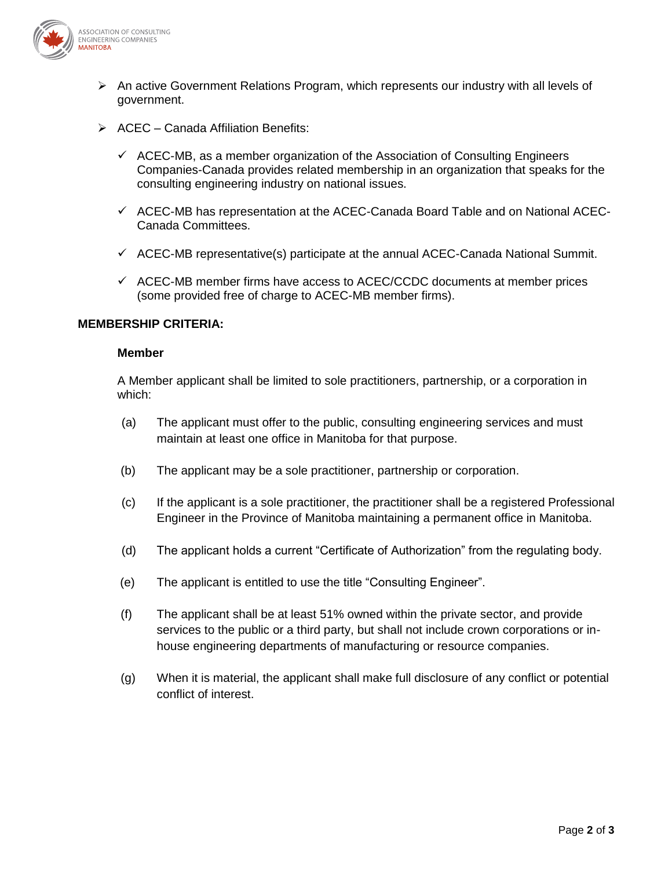

- $\triangleright$  An active Government Relations Program, which represents our industry with all levels of government.
- $\triangleright$  ACEC Canada Affiliation Benefits:
	- $\checkmark$  ACEC-MB, as a member organization of the Association of Consulting Engineers Companies-Canada provides related membership in an organization that speaks for the consulting engineering industry on national issues.
	- $\checkmark$  ACEC-MB has representation at the ACEC-Canada Board Table and on National ACEC-Canada Committees.
	- $\checkmark$  ACEC-MB representative(s) participate at the annual ACEC-Canada National Summit.
	- $\checkmark$  ACEC-MB member firms have access to ACEC/CCDC documents at member prices (some provided free of charge to ACEC-MB member firms).

#### **MEMBERSHIP CRITERIA:**

#### **Member**

A Member applicant shall be limited to sole practitioners, partnership, or a corporation in which:

- (a) The applicant must offer to the public, consulting engineering services and must maintain at least one office in Manitoba for that purpose.
- (b) The applicant may be a sole practitioner, partnership or corporation.
- (c) If the applicant is a sole practitioner, the practitioner shall be a registered Professional Engineer in the Province of Manitoba maintaining a permanent office in Manitoba.
- (d) The applicant holds a current "Certificate of Authorization" from the regulating body.
- (e) The applicant is entitled to use the title "Consulting Engineer".
- (f) The applicant shall be at least 51% owned within the private sector, and provide services to the public or a third party, but shall not include crown corporations or inhouse engineering departments of manufacturing or resource companies.
- (g) When it is material, the applicant shall make full disclosure of any conflict or potential conflict of interest.